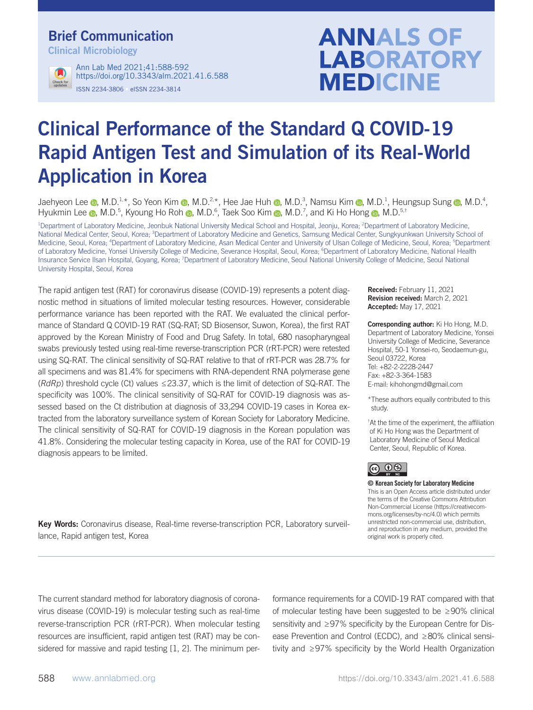# Brief Communication

Clinical Microbiology



ISSN 2234-3806 • eISSN 2234-3814 Ann Lab Med 2021;41:588-592 https://doi.org/10.3343/alm.2021.41.6.588

# **ANNALS OF LABORATORY MEDICINE**

# Clinical Performance of the Standard Q COVID-19 Rapid Antigen Test and Simulation of its Real-World Application in Korea

Jaehyeon Lee @, M.D.<sup>1,\*</sup>, So Yeon Kim @, M.D.<sup>2,\*</sup>, Hee Jae Huh @, M.D.<sup>3</sup>, Namsu Kim @, M.D.<sup>1</sup>, Heungsup Sung @, M.D.<sup>4</sup>, Hyukmin Lee <sub>®</sub>, M.D.<sup>5</sup>, Kyoung Ho Roh ®, M.D.<sup>6</sup>, Taek Soo Kim ®, M.D.<sup>7</sup>, and Ki Ho Hong ®, M.D.<sup>5,†</sup>

<sup>1</sup>Department of Laboratory Medicine, Jeonbuk National University Medical School and Hospital, Jeonju, Korea; <sup>2</sup>Department of Laboratory Medicine, National Medical Center, Seoul, Korea; <sup>3</sup>Department of Laboratory Medicine and Genetics, Samsung Medical Center, Sungkyunkwan University School of Medicine, Seoul, Korea; <sup>4</sup>Department of Laboratory Medicine, Asan Medical Center and University of Ulsan College of Medicine, Seoul, Korea; <sup>5</sup>Department of Laboratory Medicine, Yonsei University College of Medicine, Severance Hospital, Seoul, Korea; <sup>6</sup>Department of Laboratory Medicine, National Health Insurance Service Ilsan Hospital, Goyang, Korea; <sup>7</sup>Department of Laboratory Medicine, Seoul National University College of Medicine, Seoul National University Hospital, Seoul, Korea

The rapid antigen test (RAT) for coronavirus disease (COVID-19) represents a potent diagnostic method in situations of limited molecular testing resources. However, considerable performance variance has been reported with the RAT. We evaluated the clinical performance of Standard Q COVID-19 RAT (SQ-RAT; SD Biosensor, Suwon, Korea), the first RAT approved by the Korean Ministry of Food and Drug Safety. In total, 680 nasopharyngeal swabs previously tested using real-time reverse-transcription PCR (rRT-PCR) were retested using SQ-RAT. The clinical sensitivity of SQ-RAT relative to that of rRT-PCR was 28.7% for all specimens and was 81.4% for specimens with RNA-dependent RNA polymerase gene ( $RdRp$ ) threshold cycle (Ct) values  $\leq$ 23.37, which is the limit of detection of SQ-RAT. The specificity was 100%. The clinical sensitivity of SQ-RAT for COVID-19 diagnosis was assessed based on the Ct distribution at diagnosis of 33,294 COVID-19 cases in Korea extracted from the laboratory surveillance system of Korean Society for Laboratory Medicine. The clinical sensitivity of SQ-RAT for COVID-19 diagnosis in the Korean population was 41.8%. Considering the molecular testing capacity in Korea, use of the RAT for COVID-19 diagnosis appears to be limited.

Received: February 11, 2021 Revision received: March 2, 2021 Accepted: May 17, 2021

Corresponding author: Ki Ho Hong, M.D. Department of Laboratory Medicine, Yonsei University College of Medicine, Severance Hospital, 50-1 Yonsei-ro, Seodaemun-gu, Seoul 03722, Korea Tel: +82-2-2228-2447 Fax: +82-3-364-1583 E-mail: kihohongmd@gmail.com

\*These authors equally contributed to this study.

† At the time of the experiment, the affiliation of Ki Ho Hong was the Department of Laboratory Medicine of Seoul Medical Center, Seoul, Republic of Korea.

### <u> (෬) ① (�)</u>

© Korean Society for Laboratory Medicine

This is an Open Access article distributed under the terms of the Creative Commons Attribution Non-Commercial License (https://creativecommons.org/licenses/by-nc/4.0) which permits unrestricted non-commercial use, distribution, and reproduction in any medium, provided the original work is properly cited.

Key Words: Coronavirus disease, Real-time reverse-transcription PCR, Laboratory surveillance, Rapid antigen test, Korea

The current standard method for laboratory diagnosis of coronavirus disease (COVID-19) is molecular testing such as real-time reverse-transcription PCR (rRT-PCR). When molecular testing resources are insufficient, rapid antigen test (RAT) may be considered for massive and rapid testing [1, 2]. The minimum performance requirements for a COVID-19 RAT compared with that of molecular testing have been suggested to be ≥90% clinical sensitivity and ≥97% specificity by the European Centre for Disease Prevention and Control (ECDC), and ≥80% clinical sensitivity and ≥97% specificity by the World Health Organization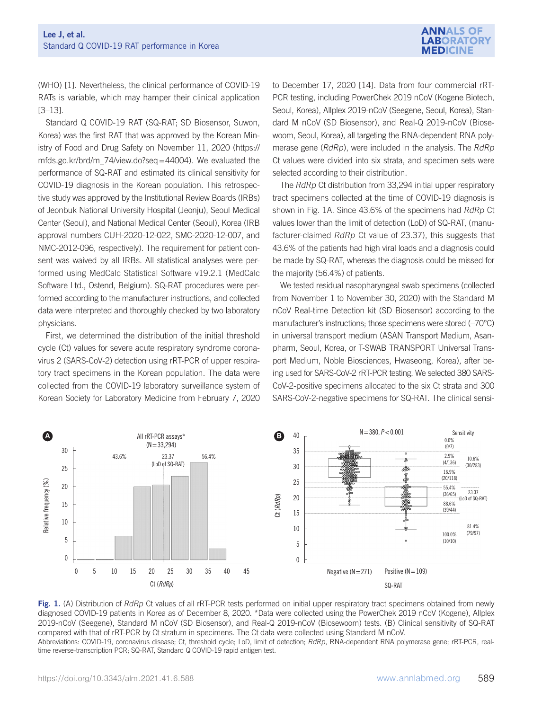

(WHO) [1]. Nevertheless, the clinical performance of COVID-19 RATs is variable, which may hamper their clinical application [3–13].

Standard Q COVID-19 RAT (SQ-RAT; SD Biosensor, Suwon, Korea) was the first RAT that was approved by the Korean Ministry of Food and Drug Safety on November 11, 2020 (https:// mfds.go.kr/brd/m\_74/view.do?seq=44004). We evaluated the performance of SQ-RAT and estimated its clinical sensitivity for COVID-19 diagnosis in the Korean population. This retrospective study was approved by the Institutional Review Boards (IRBs) of Jeonbuk National University Hospital (Jeonju), Seoul Medical Center (Seoul), and National Medical Center (Seoul), Korea (IRB approval numbers CUH-2020-12-022, SMC-2020-12-007, and NMC-2012-096, respectively). The requirement for patient consent was waived by all IRBs. All statistical analyses were performed using MedCalc Statistical Software v19.2.1 (MedCalc Software Ltd., Ostend, Belgium). SQ-RAT procedures were performed according to the manufacturer instructions, and collected data were interpreted and thoroughly checked by two laboratory physicians.

First, we determined the distribution of the initial threshold cycle (Ct) values for severe acute respiratory syndrome coronavirus 2 (SARS-CoV-2) detection using rRT-PCR of upper respiratory tract specimens in the Korean population. The data were collected from the COVID-19 laboratory surveillance system of Korean Society for Laboratory Medicine from February 7, 2020

to December 17, 2020 [14]. Data from four commercial rRT-PCR testing, including PowerChek 2019 nCoV (Kogene Biotech, Seoul, Korea), Allplex 2019-nCoV (Seegene, Seoul, Korea), Standard M nCoV (SD Biosensor), and Real-Q 2019-nCoV (Biosewoom, Seoul, Korea), all targeting the RNA-dependent RNA polymerase gene (RdRp), were included in the analysis. The RdRp Ct values were divided into six strata, and specimen sets were selected according to their distribution.

The RdRp Ct distribution from 33,294 initial upper respiratory tract specimens collected at the time of COVID-19 diagnosis is shown in Fig. 1A. Since 43.6% of the specimens had RdRp Ct values lower than the limit of detection (LoD) of SQ-RAT, (manufacturer-claimed RdRp Ct value of 23.37), this suggests that 43.6% of the patients had high viral loads and a diagnosis could be made by SQ-RAT, whereas the diagnosis could be missed for the majority (56.4%) of patients.

We tested residual nasopharyngeal swab specimens (collected from November 1 to November 30, 2020) with the Standard M nCoV Real-time Detection kit (SD Biosensor) according to the manufacturer's instructions; those specimens were stored (–70°C) in universal transport medium (ASAN Transport Medium, Asanpharm, Seoul, Korea, or T-SWAB TRANSPORT Universal Transport Medium, Noble Biosciences, Hwaseong, Korea), after being used for SARS-CoV-2 rRT-PCR testing. We selected 380 SARS-CoV-2-positive specimens allocated to the six Ct strata and 300 SARS-CoV-2-negative specimens for SQ-RAT. The clinical sensi-



Fig. 1. (A) Distribution of RdRp Ct values of all rRT-PCR tests performed on initial upper respiratory tract specimens obtained from newly diagnosed COVID-19 patients in Korea as of December 8, 2020. \*Data were collected using the PowerChek 2019 nCoV (Kogene), Allplex 2019-nCoV (Seegene), Standard M nCoV (SD Biosensor), and Real-Q 2019-nCoV (Biosewoom) tests. (B) Clinical sensitivity of SQ-RAT compared with that of rRT-PCR by Ct stratum in specimens. The Ct data were collected using Standard M nCoV.

Abbreviations: COVID-19, coronavirus disease; Ct, threshold cycle; LoD, limit of detection; RdRp, RNA-dependent RNA polymerase gene; rRT-PCR, realtime reverse-transcription PCR; SQ-RAT, Standard Q COVID-19 rapid antigen test.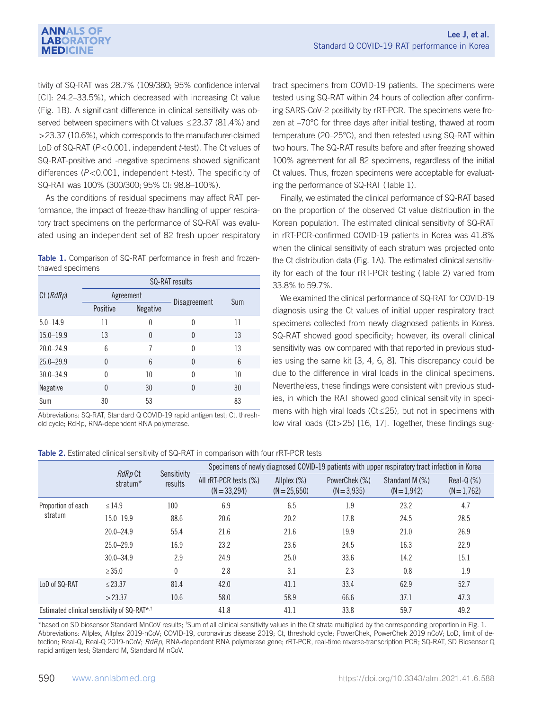tivity of SQ-RAT was 28.7% (109/380; 95% confidence interval [CI]: 24.2–33.5%), which decreased with increasing Ct value (Fig. 1B). A significant difference in clinical sensitivity was observed between specimens with Ct values ≤23.37 (81.4%) and >23.37 (10.6%), which corresponds to the manufacturer-claimed LoD of SQ-RAT (P<0.001, independent t-test). The Ct values of SQ-RAT-positive and -negative specimens showed significant differences (P<0.001, independent t-test). The specificity of SQ-RAT was 100% (300/300; 95% CI: 98.8–100%).

As the conditions of residual specimens may affect RAT performance, the impact of freeze-thaw handling of upper respiratory tract specimens on the performance of SQ-RAT was evaluated using an independent set of 82 fresh upper respiratory

Table 1. Comparison of SQ-RAT performance in fresh and frozenthawed specimens

|                 | <b>SQ-RAT</b> results |                 |              |     |  |  |  |
|-----------------|-----------------------|-----------------|--------------|-----|--|--|--|
| Ct (RdRp)       |                       | Agreement       | Disagreement | Sum |  |  |  |
|                 | Positive              | <b>Negative</b> |              |     |  |  |  |
| $5.0 - 14.9$    | 11                    | 0               | 0            | 11  |  |  |  |
| $15.0 - 19.9$   | 13                    | $\Omega$        | $\Omega$     | 13  |  |  |  |
| $20.0 - 24.9$   | 6                     | 7               | 0            | 13  |  |  |  |
| $25.0 - 29.9$   | $\Omega$              | $6\overline{6}$ | $\Omega$     | 6   |  |  |  |
| $30.0 - 34.9$   | $\Omega$              | 10              | 0            | 10  |  |  |  |
| <b>Negative</b> | $\Omega$              | 30              | 0            | 30  |  |  |  |
| Sum             | 30                    | 53              |              | 83  |  |  |  |

Abbreviations: SQ-RAT, Standard Q COVID-19 rapid antigen test; Ct, threshold cycle; RdRp, RNA-dependent RNA polymerase.

tract specimens from COVID-19 patients. The specimens were tested using SQ-RAT within 24 hours of collection after confirming SARS-CoV-2 positivity by rRT-PCR. The specimens were frozen at –70°C for three days after initial testing, thawed at room temperature (20–25°C), and then retested using SQ-RAT within two hours. The SQ-RAT results before and after freezing showed 100% agreement for all 82 specimens, regardless of the initial Ct values. Thus, frozen specimens were acceptable for evaluating the performance of SQ-RAT (Table 1).

Finally, we estimated the clinical performance of SQ-RAT based on the proportion of the observed Ct value distribution in the Korean population. The estimated clinical sensitivity of SQ-RAT in rRT-PCR-confirmed COVID-19 patients in Korea was 41.8% when the clinical sensitivity of each stratum was projected onto the Ct distribution data (Fig. 1A). The estimated clinical sensitivity for each of the four rRT-PCR testing (Table 2) varied from 33.8% to 59.7%.

We examined the clinical performance of SQ-RAT for COVID-19 diagnosis using the Ct values of initial upper respiratory tract specimens collected from newly diagnosed patients in Korea. SQ-RAT showed good specificity; however, its overall clinical sensitivity was low compared with that reported in previous studies using the same kit [3, 4, 6, 8]. This discrepancy could be due to the difference in viral loads in the clinical specimens. Nevertheless, these findings were consistent with previous studies, in which the RAT showed good clinical sensitivity in specimens with high viral loads (Ct≤25), but not in specimens with low viral loads (Ct>25) [16, 17]. Together, these findings sug-

|  | Table 2. Estimated clinical sensitivity of SQ-RAT in comparison with four rRT-PCR tests |  |  |  |  |  |  |  |  |  |  |
|--|-----------------------------------------------------------------------------------------|--|--|--|--|--|--|--|--|--|--|
|--|-----------------------------------------------------------------------------------------|--|--|--|--|--|--|--|--|--|--|

|                                                         | RdRp Ct       | Sensitivity  | Specimens of newly diagnosed COVID-19 patients with upper respiratory tract infection in Korea |                                  |                                |                                 |                             |  |  |
|---------------------------------------------------------|---------------|--------------|------------------------------------------------------------------------------------------------|----------------------------------|--------------------------------|---------------------------------|-----------------------------|--|--|
|                                                         | stratum*      | results      | All rRT-PCR tests (%)<br>$(N = 33,294)$                                                        | Allplex $(\%)$<br>$(N = 25,650)$ | PowerChek (%)<br>$(N = 3,935)$ | Standard M (%)<br>$(N = 1.942)$ | Real-Q $(%)$<br>$(N=1,762)$ |  |  |
| Proportion of each<br>stratum                           | $\leq$ 14.9   | 100          | 6.9                                                                                            | 6.5                              | 1.9                            | 23.2                            | 4.7                         |  |  |
|                                                         | $15.0 - 19.9$ | 88.6         | 20.6                                                                                           | 20.2                             | 17.8                           | 24.5                            | 28.5                        |  |  |
|                                                         | $20.0 - 24.9$ | 55.4         | 21.6                                                                                           | 21.6                             | 19.9                           | 21.0                            | 26.9                        |  |  |
|                                                         | $25.0 - 29.9$ | 16.9         | 23.2                                                                                           | 23.6                             | 24.5                           | 16.3                            | 22.9                        |  |  |
|                                                         | $30.0 - 34.9$ | 2.9          | 24.9                                                                                           | 25.0                             | 33.6                           | 14.2                            | 15.1                        |  |  |
|                                                         | $\geq 35.0$   | $\mathbf{0}$ | 2.8                                                                                            | 3.1                              | 2.3                            | 0.8                             | 1.9                         |  |  |
| LoD of SQ-RAT                                           | $≤ 23.37$     | 81.4         | 42.0                                                                                           | 41.1                             | 33.4                           | 62.9                            | 52.7                        |  |  |
|                                                         | >23.37        | 10.6         | 58.0                                                                                           | 58.9                             | 66.6                           | 37.1                            | 47.3                        |  |  |
| Estimated clinical sensitivity of SQ-RAT <sup>*,†</sup> |               |              | 41.8                                                                                           | 41.1                             | 33.8                           | 59.7                            | 49.2                        |  |  |

\*based on SD biosensor Standard MnCoV results; <sup>†</sup>Sum of all clinical sensitivity values in the Ct strata multiplied by the corresponding proportion in Fig. 1. Abbreviations: Allplex, Allplex 2019-nCoV; COVID-19, coronavirus disease 2019; Ct, threshold cycle; PowerChek, PowerChek 2019 nCoV; LoD, limit of detection; Real-Q, Real-Q 2019-nCoV; *RdRp*, RNA-dependent RNA polymerase gene; rRT-PCR, real-time reverse-transcription PCR; SQ-RAT, SD Biosensor Q rapid antigen test; Standard M, Standard M nCoV.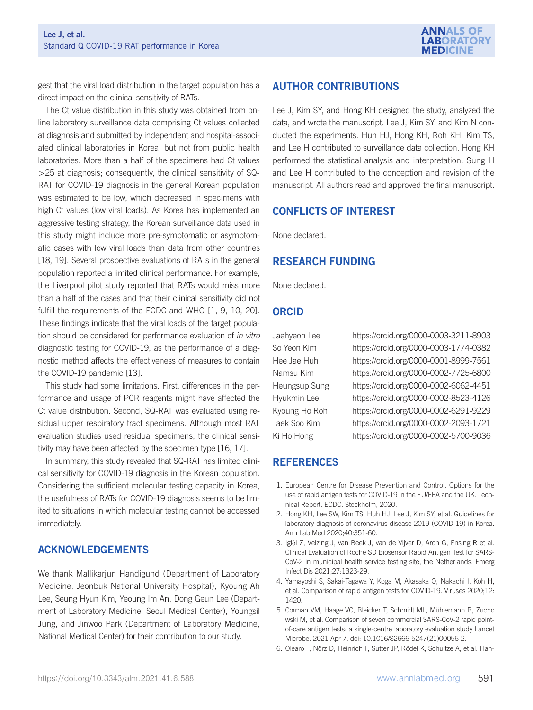

gest that the viral load distribution in the target population has a direct impact on the clinical sensitivity of RATs.

The Ct value distribution in this study was obtained from online laboratory surveillance data comprising Ct values collected at diagnosis and submitted by independent and hospital-associated clinical laboratories in Korea, but not from public health laboratories. More than a half of the specimens had Ct values >25 at diagnosis; consequently, the clinical sensitivity of SQ-RAT for COVID-19 diagnosis in the general Korean population was estimated to be low, which decreased in specimens with high Ct values (low viral loads). As Korea has implemented an aggressive testing strategy, the Korean surveillance data used in this study might include more pre-symptomatic or asymptomatic cases with low viral loads than data from other countries [18, 19]. Several prospective evaluations of RATs in the general population reported a limited clinical performance. For example, the Liverpool pilot study reported that RATs would miss more than a half of the cases and that their clinical sensitivity did not fulfill the requirements of the ECDC and WHO [1, 9, 10, 20]. These findings indicate that the viral loads of the target population should be considered for performance evaluation of in vitro diagnostic testing for COVID-19, as the performance of a diagnostic method affects the effectiveness of measures to contain the COVID-19 pandemic [13].

This study had some limitations. First, differences in the performance and usage of PCR reagents might have affected the Ct value distribution. Second, SQ-RAT was evaluated using residual upper respiratory tract specimens. Although most RAT evaluation studies used residual specimens, the clinical sensitivity may have been affected by the specimen type [16, 17].

In summary, this study revealed that SQ-RAT has limited clinical sensitivity for COVID-19 diagnosis in the Korean population. Considering the sufficient molecular testing capacity in Korea, the usefulness of RATs for COVID-19 diagnosis seems to be limited to situations in which molecular testing cannot be accessed immediately.

### ACKNOWLEDGEMENTS

We thank Mallikarjun Handigund (Department of Laboratory Medicine, Jeonbuk National University Hospital), Kyoung Ah Lee, Seung Hyun Kim, Yeoung Im An, Dong Geun Lee (Department of Laboratory Medicine, Seoul Medical Center), Youngsil Jung, and Jinwoo Park (Department of Laboratory Medicine, National Medical Center) for their contribution to our study.

## AUTHOR CONTRIBUTIONS

Lee J, Kim SY, and Hong KH designed the study, analyzed the data, and wrote the manuscript. Lee J, Kim SY, and Kim N conducted the experiments. Huh HJ, Hong KH, Roh KH, Kim TS, and Lee H contributed to surveillance data collection. Hong KH performed the statistical analysis and interpretation. Sung H and Lee H contributed to the conception and revision of the manuscript. All authors read and approved the final manuscript.

#### CONFLICTS OF INTEREST

None declared.

#### RESEARCH FUNDING

None declared.

#### ORCID

Jaehyeon Lee https://orcid.org/0000-0003-3211-8903 So Yeon Kim https://orcid.org/0000-0003-1774-0382 Hee Jae Huh https://orcid.org/0000-0001-8999-7561 Namsu Kim https://orcid.org/0000-0002-7725-6800 Heungsup Sung https://orcid.org/0000-0002-6062-4451 Hyukmin Lee https://orcid.org/0000-0002-8523-4126 Kyoung Ho Roh https://orcid.org/0000-0002-6291-9229 Taek Soo Kim https://orcid.org/0000-0002-2093-1721 Ki Ho Hong https://orcid.org/0000-0002-5700-9036

### REFERENCES

- 1. European Centre for Disease Prevention and Control. Options for the use of rapid antigen tests for COVID-19 in the EU/EEA and the UK. Technical Report. ECDC. Stockholm, 2020.
- 2. Hong KH, Lee SW, Kim TS, Huh HJ, Lee J, Kim SY, et al. Guidelines for laboratory diagnosis of coronavirus disease 2019 (COVID-19) in Korea. Ann Lab Med 2020;40:351-60.
- 3. Iglói Z, Velzing J, van Beek J, van de Vijver D, Aron G, Ensing R et al. Clinical Evaluation of Roche SD Biosensor Rapid Antigen Test for SARS-CoV-2 in municipal health service testing site, the Netherlands. Emerg Infect Dis 2021;27:1323-29.
- 4. Yamayoshi S, Sakai-Tagawa Y, Koga M, Akasaka O, Nakachi I, Koh H, et al. Comparison of rapid antigen tests for COVID-19. Viruses 2020;12: 1420.
- 5. Corman VM, Haage VC, Bleicker T, Schmidt ML, Mühlemann B, Zucho wski M, et al. Comparison of seven commercial SARS-CoV-2 rapid pointof-care antigen tests: a single-centre laboratory evaluation study Lancet Microbe. 2021 Apr 7. doi: 10.1016/S2666-5247(21)00056-2.
- 6. Olearo F, Nörz D, Heinrich F, Sutter JP, Rödel K, Schultze A, et al. Han-